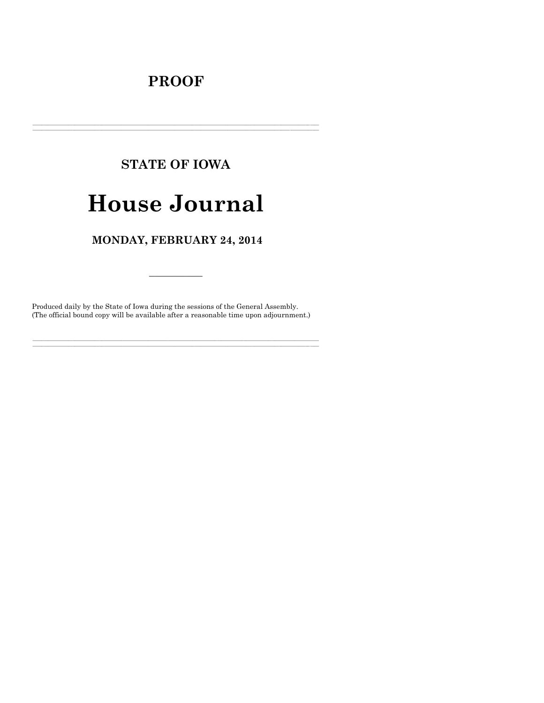## **PROOF**

# **STATE OF IOWA**

# **House Journal**

### MONDAY, FEBRUARY 24, 2014

Produced daily by the State of Iowa during the sessions of the General Assembly. (The official bound copy will be available after a reasonable time upon adjournment.)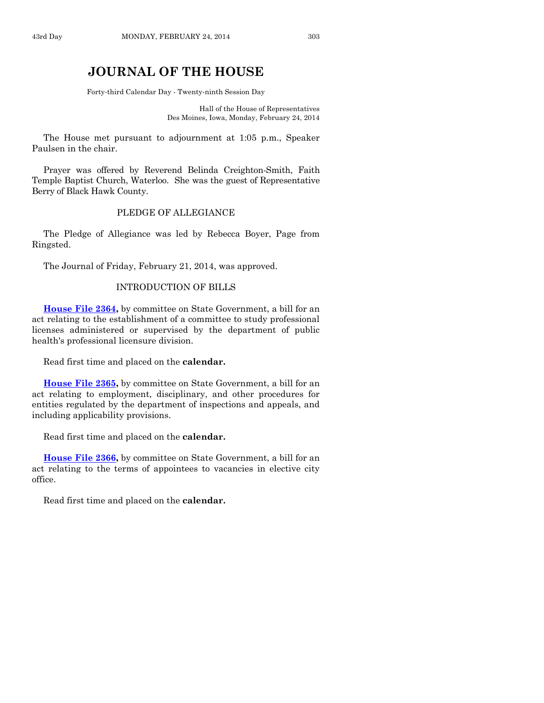### **JOURNAL OF THE HOUSE**

Forty-third Calendar Day - Twenty-ninth Session Day

Hall of the House of Representatives Des Moines, Iowa, Monday, February 24, 2014

The House met pursuant to adjournment at 1:05 p.m., Speaker Paulsen in the chair.

Prayer was offered by Reverend Belinda Creighton-Smith, Faith Temple Baptist Church, Waterloo. She was the guest of Representative Berry of Black Hawk County.

#### PLEDGE OF ALLEGIANCE

The Pledge of Allegiance was led by Rebecca Boyer, Page from Ringsted.

The Journal of Friday, February 21, 2014, was approved.

#### INTRODUCTION OF BILLS

**[House File 2364,](http://coolice.legis.iowa.gov/Cool-ICE/default.asp?Category=billinfo&Service=Billbook&frame=1&GA=85&hbill=HF2364)** by committee on State Government, a bill for an act relating to the establishment of a committee to study professional licenses administered or supervised by the department of public health's professional licensure division.

Read first time and placed on the **calendar.**

**[House File 2365,](http://coolice.legis.iowa.gov/Cool-ICE/default.asp?Category=billinfo&Service=Billbook&frame=1&GA=85&hbill=HF2365)** by committee on State Government, a bill for an act relating to employment, disciplinary, and other procedures for entities regulated by the department of inspections and appeals, and including applicability provisions.

Read first time and placed on the **calendar.**

**[House File 2366,](http://coolice.legis.iowa.gov/Cool-ICE/default.asp?Category=billinfo&Service=Billbook&frame=1&GA=85&hbill=HF2366)** by committee on State Government, a bill for an act relating to the terms of appointees to vacancies in elective city office.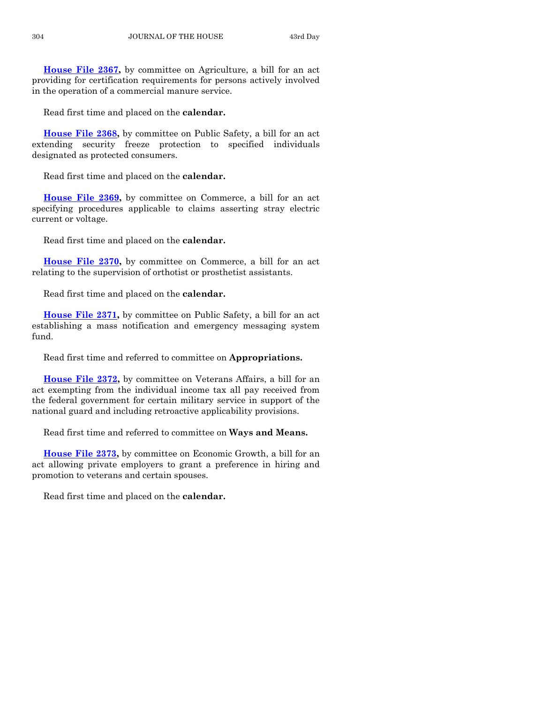**[House File 2367,](http://coolice.legis.iowa.gov/Cool-ICE/default.asp?Category=billinfo&Service=Billbook&frame=1&GA=85&hbill=HF2367)** by committee on Agriculture, a bill for an act providing for certification requirements for persons actively involved in the operation of a commercial manure service.

Read first time and placed on the **calendar.**

**[House File 2368,](http://coolice.legis.iowa.gov/Cool-ICE/default.asp?Category=billinfo&Service=Billbook&frame=1&GA=85&hbill=HF2368)** by committee on Public Safety, a bill for an act extending security freeze protection to specified individuals designated as protected consumers.

Read first time and placed on the **calendar.**

**[House File 2369,](http://coolice.legis.iowa.gov/Cool-ICE/default.asp?Category=billinfo&Service=Billbook&frame=1&GA=85&hbill=HF2369)** by committee on Commerce, a bill for an act specifying procedures applicable to claims asserting stray electric current or voltage.

Read first time and placed on the **calendar.**

**[House File 2370,](http://coolice.legis.iowa.gov/Cool-ICE/default.asp?Category=billinfo&Service=Billbook&frame=1&GA=85&hbill=HF2370)** by committee on Commerce, a bill for an act relating to the supervision of orthotist or prosthetist assistants.

Read first time and placed on the **calendar.**

**[House File 2371,](http://coolice.legis.iowa.gov/Cool-ICE/default.asp?Category=billinfo&Service=Billbook&frame=1&GA=85&hbill=HF2371)** by committee on Public Safety, a bill for an act establishing a mass notification and emergency messaging system fund.

Read first time and referred to committee on **Appropriations.**

**[House File 2372,](http://coolice.legis.iowa.gov/Cool-ICE/default.asp?Category=billinfo&Service=Billbook&frame=1&GA=85&hbill=HF2372)** by committee on Veterans Affairs, a bill for an act exempting from the individual income tax all pay received from the federal government for certain military service in support of the national guard and including retroactive applicability provisions.

Read first time and referred to committee on **Ways and Means.**

**[House File 2373,](http://coolice.legis.iowa.gov/Cool-ICE/default.asp?Category=billinfo&Service=Billbook&frame=1&GA=85&hbill=HF2373)** by committee on Economic Growth, a bill for an act allowing private employers to grant a preference in hiring and promotion to veterans and certain spouses.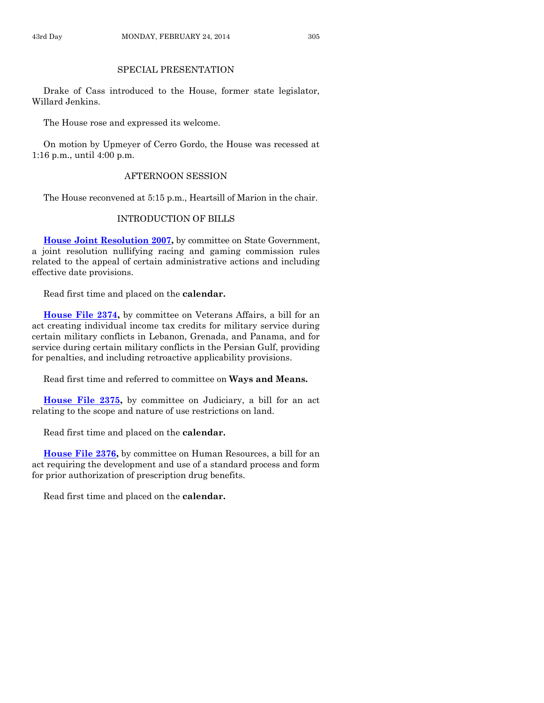#### SPECIAL PRESENTATION

Drake of Cass introduced to the House, former state legislator, Willard Jenkins.

The House rose and expressed its welcome.

On motion by Upmeyer of Cerro Gordo, the House was recessed at 1:16 p.m., until 4:00 p.m.

#### AFTERNOON SESSION

The House reconvened at 5:15 p.m., Heartsill of Marion in the chair.

#### INTRODUCTION OF BILLS

**[House Joint Resolution 2007,](http://coolice.legis.iowa.gov/Cool-ICE/default.asp?Category=billinfo&Service=Billbook&frame=1&GA=85&hbill=HJR2007)** by committee on State Government, a joint resolution nullifying racing and gaming commission rules related to the appeal of certain administrative actions and including effective date provisions.

Read first time and placed on the **calendar.**

**[House File 2374,](http://coolice.legis.iowa.gov/Cool-ICE/default.asp?Category=billinfo&Service=Billbook&frame=1&GA=85&hbill=HF2374)** by committee on Veterans Affairs, a bill for an act creating individual income tax credits for military service during certain military conflicts in Lebanon, Grenada, and Panama, and for service during certain military conflicts in the Persian Gulf, providing for penalties, and including retroactive applicability provisions.

Read first time and referred to committee on **Ways and Means.**

**[House File 2375,](http://coolice.legis.iowa.gov/Cool-ICE/default.asp?Category=billinfo&Service=Billbook&frame=1&GA=85&hbill=HF2375)** by committee on Judiciary, a bill for an act relating to the scope and nature of use restrictions on land.

Read first time and placed on the **calendar.**

**[House File 2376,](http://coolice.legis.iowa.gov/Cool-ICE/default.asp?Category=billinfo&Service=Billbook&frame=1&GA=85&hbill=HF2376)** by committee on Human Resources, a bill for an act requiring the development and use of a standard process and form for prior authorization of prescription drug benefits.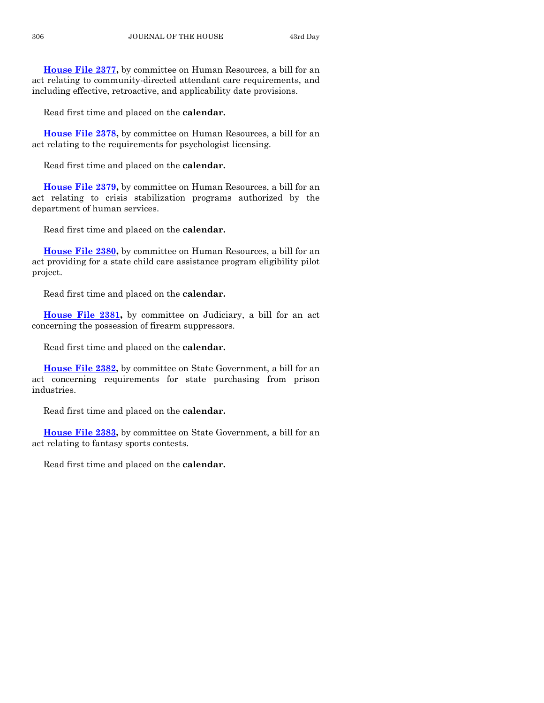**[House File 2377,](http://coolice.legis.iowa.gov/Cool-ICE/default.asp?Category=billinfo&Service=Billbook&frame=1&GA=85&hbill=HF2377)** by committee on Human Resources, a bill for an act relating to community-directed attendant care requirements, and including effective, retroactive, and applicability date provisions.

Read first time and placed on the **calendar.**

**[House File 2378,](http://coolice.legis.iowa.gov/Cool-ICE/default.asp?Category=billinfo&Service=Billbook&frame=1&GA=85&hbill=HF2378)** by committee on Human Resources, a bill for an act relating to the requirements for psychologist licensing.

Read first time and placed on the **calendar.**

**[House File 2379,](http://coolice.legis.iowa.gov/Cool-ICE/default.asp?Category=billinfo&Service=Billbook&frame=1&GA=85&hbill=HF2379)** by committee on Human Resources, a bill for an act relating to crisis stabilization programs authorized by the department of human services.

Read first time and placed on the **calendar.**

**[House File 2380,](http://coolice.legis.iowa.gov/Cool-ICE/default.asp?Category=billinfo&Service=Billbook&frame=1&GA=85&hbill=HF2380)** by committee on Human Resources, a bill for an act providing for a state child care assistance program eligibility pilot project.

Read first time and placed on the **calendar.**

**[House File 2381,](http://coolice.legis.iowa.gov/Cool-ICE/default.asp?Category=billinfo&Service=Billbook&frame=1&GA=85&hbill=HF2381)** by committee on Judiciary, a bill for an act concerning the possession of firearm suppressors.

Read first time and placed on the **calendar.**

**[House File 2382,](http://coolice.legis.iowa.gov/Cool-ICE/default.asp?Category=billinfo&Service=Billbook&frame=1&GA=85&hbill=HF2382)** by committee on State Government, a bill for an act concerning requirements for state purchasing from prison industries.

Read first time and placed on the **calendar.**

**[House File 2383,](http://coolice.legis.iowa.gov/Cool-ICE/default.asp?Category=billinfo&Service=Billbook&frame=1&GA=85&hbill=HF2383)** by committee on State Government, a bill for an act relating to fantasy sports contests.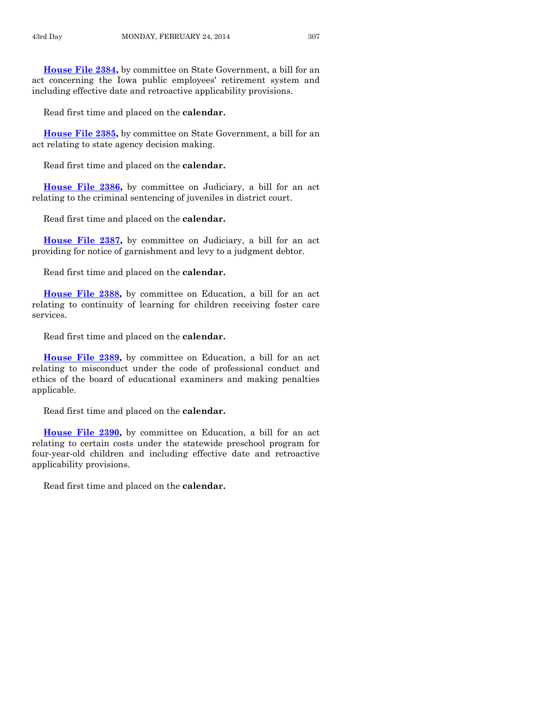**[House File 2384,](http://coolice.legis.iowa.gov/Cool-ICE/default.asp?Category=billinfo&Service=Billbook&frame=1&GA=85&hbill=HF2384)** by committee on State Government, a bill for an act concerning the Iowa public employees' retirement system and including effective date and retroactive applicability provisions.

Read first time and placed on the **calendar.**

**[House File 2385,](http://coolice.legis.iowa.gov/Cool-ICE/default.asp?Category=billinfo&Service=Billbook&frame=1&GA=85&hbill=HF2385)** by committee on State Government, a bill for an act relating to state agency decision making.

Read first time and placed on the **calendar.**

**[House File 2386,](http://coolice.legis.iowa.gov/Cool-ICE/default.asp?Category=billinfo&Service=Billbook&frame=1&GA=85&hbill=HF2386)** by committee on Judiciary, a bill for an act relating to the criminal sentencing of juveniles in district court.

Read first time and placed on the **calendar.**

**[House File 2387,](http://coolice.legis.iowa.gov/Cool-ICE/default.asp?Category=billinfo&Service=Billbook&frame=1&GA=85&hbill=HF2387)** by committee on Judiciary, a bill for an act providing for notice of garnishment and levy to a judgment debtor.

Read first time and placed on the **calendar.**

**[House File 2388,](http://coolice.legis.iowa.gov/Cool-ICE/default.asp?Category=billinfo&Service=Billbook&frame=1&GA=85&hbill=HF2388)** by committee on Education, a bill for an act relating to continuity of learning for children receiving foster care services.

Read first time and placed on the **calendar.**

**[House File 2389,](http://coolice.legis.iowa.gov/Cool-ICE/default.asp?Category=billinfo&Service=Billbook&frame=1&GA=85&hbill=HF2389)** by committee on Education, a bill for an act relating to misconduct under the code of professional conduct and ethics of the board of educational examiners and making penalties applicable.

Read first time and placed on the **calendar.**

**[House File 2390,](http://coolice.legis.iowa.gov/Cool-ICE/default.asp?Category=billinfo&Service=Billbook&frame=1&GA=85&hbill=HF2390)** by committee on Education, a bill for an act relating to certain costs under the statewide preschool program for four-year-old children and including effective date and retroactive applicability provisions.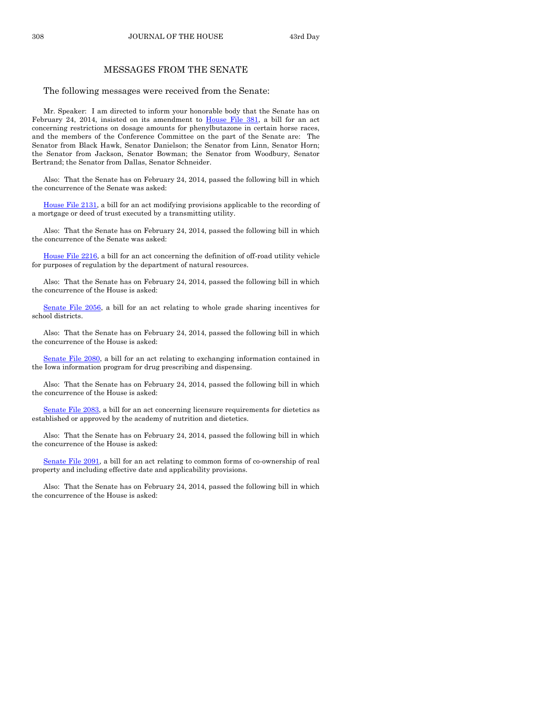308 JOURNAL OF THE HOUSE 43rd Day

#### MESSAGES FROM THE SENATE

The following messages were received from the Senate:

Mr. Speaker: I am directed to inform your honorable body that the Senate has on February 24, 2014, insisted on its amendment to [House File 381,](http://coolice.legis.iowa.gov/Cool-ICE/default.asp?Category=billinfo&Service=Billbook&frame=1&GA=85&hbill=HF381) a bill for an act concerning restrictions on dosage amounts for phenylbutazone in certain horse races, and the members of the Conference Committee on the part of the Senate are: The Senator from Black Hawk, Senator Danielson; the Senator from Linn, Senator Horn; the Senator from Jackson, Senator Bowman; the Senator from Woodbury, Senator Bertrand; the Senator from Dallas, Senator Schneider.

Also: That the Senate has on February 24, 2014, passed the following bill in which the concurrence of the Senate was asked:

[House File 2131,](http://coolice.legis.iowa.gov/Cool-ICE/default.asp?Category=billinfo&Service=Billbook&frame=1&GA=85&hbill=HF2131) a bill for an act modifying provisions applicable to the recording of a mortgage or deed of trust executed by a transmitting utility.

Also: That the Senate has on February 24, 2014, passed the following bill in which the concurrence of the Senate was asked:

[House File 2216,](http://coolice.legis.iowa.gov/Cool-ICE/default.asp?Category=billinfo&Service=Billbook&frame=1&GA=85&hbill=HF2216) a bill for an act concerning the definition of off-road utility vehicle for purposes of regulation by the department of natural resources.

Also: That the Senate has on February 24, 2014, passed the following bill in which the concurrence of the House is asked:

[Senate File 2056,](http://coolice.legis.iowa.gov/Cool-ICE/default.asp?Category=billinfo&Service=Billbook&frame=1&GA=85&hbill=SF2056) a bill for an act relating to whole grade sharing incentives for school districts.

Also: That the Senate has on February 24, 2014, passed the following bill in which the concurrence of the House is asked:

[Senate File 2080,](http://coolice.legis.iowa.gov/Cool-ICE/default.asp?Category=billinfo&Service=Billbook&frame=1&GA=85&hbill=SF2080) a bill for an act relating to exchanging information contained in the Iowa information program for drug prescribing and dispensing.

Also: That the Senate has on February 24, 2014, passed the following bill in which the concurrence of the House is asked:

[Senate File 2083,](http://coolice.legis.iowa.gov/Cool-ICE/default.asp?Category=billinfo&Service=Billbook&frame=1&GA=85&hbill=SF2083) a bill for an act concerning licensure requirements for dietetics as established or approved by the academy of nutrition and dietetics.

Also: That the Senate has on February 24, 2014, passed the following bill in which the concurrence of the House is asked:

[Senate File 2091,](http://coolice.legis.iowa.gov/Cool-ICE/default.asp?Category=billinfo&Service=Billbook&frame=1&GA=85&hbill=SF2091) a bill for an act relating to common forms of co-ownership of real property and including effective date and applicability provisions.

Also: That the Senate has on February 24, 2014, passed the following bill in which the concurrence of the House is asked: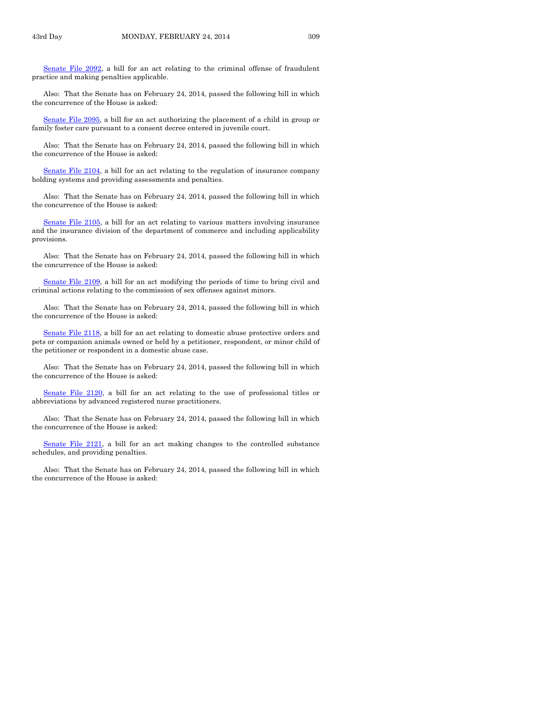Senate [File 2092,](http://coolice.legis.iowa.gov/Cool-ICE/default.asp?Category=billinfo&Service=Billbook&frame=1&GA=85&hbill=SF2092) a bill for an act relating to the criminal offense of fraudulent practice and making penalties applicable.

Also: That the Senate has on February 24, 2014, passed the following bill in which the concurrence of the House is asked:

[Senate File 2095,](http://coolice.legis.iowa.gov/Cool-ICE/default.asp?Category=billinfo&Service=Billbook&frame=1&GA=85&hbill=SF2095) a bill for an act authorizing the placement of a child in group or family foster care pursuant to a consent decree entered in juvenile court.

Also: That the Senate has on February 24, 2014, passed the following bill in which the concurrence of the House is asked:

[Senate File 2104,](http://coolice.legis.iowa.gov/Cool-ICE/default.asp?Category=billinfo&Service=Billbook&frame=1&GA=85&hbill=SF2104) a bill for an act relating to the regulation of insurance company holding systems and providing assessments and penalties.

Also: That the Senate has on February 24, 2014, passed the following bill in which the concurrence of the House is asked:

[Senate File 2105,](http://coolice.legis.iowa.gov/Cool-ICE/default.asp?Category=billinfo&Service=Billbook&frame=1&GA=85&hbill=SF2105) a bill for an act relating to various matters involving insurance and the insurance division of the department of commerce and including applicability provisions.

Also: That the Senate has on February 24, 2014, passed the following bill in which the concurrence of the House is asked:

[Senate File 2109,](http://coolice.legis.iowa.gov/Cool-ICE/default.asp?Category=billinfo&Service=Billbook&frame=1&GA=85&hbill=SF2109) a bill for an act modifying the periods of time to bring civil and criminal actions relating to the commission of sex offenses against minors.

Also: That the Senate has on February 24, 2014, passed the following bill in which the concurrence of the House is asked:

[Senate File 2118,](http://coolice.legis.iowa.gov/Cool-ICE/default.asp?Category=billinfo&Service=Billbook&frame=1&GA=85&hbill=SF2118) a bill for an act relating to domestic abuse protective orders and pets or companion animals owned or held by a petitioner, respondent, or minor child of the petitioner or respondent in a domestic abuse case.

Also: That the Senate has on February 24, 2014, passed the following bill in which the concurrence of the House is asked:

[Senate File 2120,](http://coolice.legis.iowa.gov/Cool-ICE/default.asp?Category=billinfo&Service=Billbook&frame=1&GA=85&hbill=SF2120) a bill for an act relating to the use of professional titles or abbreviations by advanced registered nurse practitioners.

Also: That the Senate has on February 24, 2014, passed the following bill in which the concurrence of the House is asked:

[Senate File 2121,](http://coolice.legis.iowa.gov/Cool-ICE/default.asp?Category=billinfo&Service=Billbook&frame=1&GA=85&hbill=SF2121) a bill for an act making changes to the controlled substance schedules, and providing penalties.

Also: That the Senate has on February 24, 2014, passed the following bill in which the concurrence of the House is asked: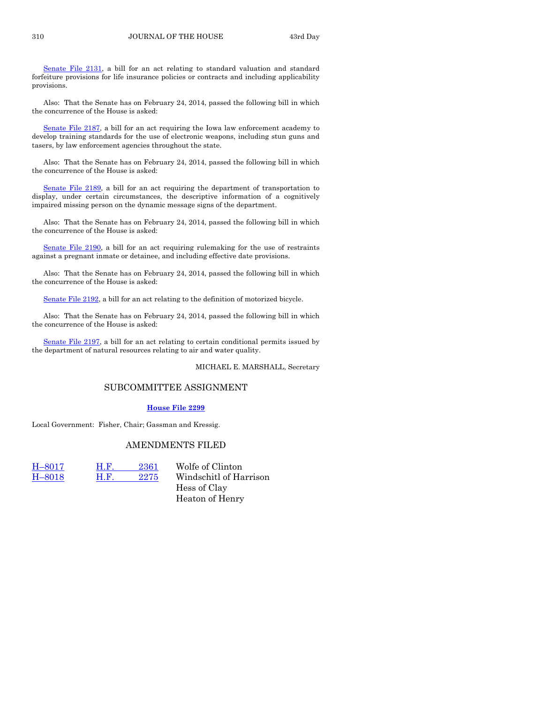[Senate File 2131,](http://coolice.legis.iowa.gov/Cool-ICE/default.asp?Category=billinfo&Service=Billbook&frame=1&GA=85&hbill=SF2131) a bill for an act relating to standard valuation and standard forfeiture provisions for life insurance policies or contracts and including applicability provisions.

Also: That the Senate has on February 24, 2014, passed the following bill in which the concurrence of the House is asked:

[Senate File 2187,](http://coolice.legis.iowa.gov/Cool-ICE/default.asp?Category=billinfo&Service=Billbook&frame=1&GA=85&hbill=SF2187) a bill for an act requiring the Iowa law enforcement academy to develop training standards for the use of electronic weapons, including stun guns and tasers, by law enforcement agencies throughout the state.

Also: That the Senate has on February 24, 2014, passed the following bill in which the concurrence of the House is asked:

[Senate File 2189,](http://coolice.legis.iowa.gov/Cool-ICE/default.asp?Category=billinfo&Service=Billbook&frame=1&GA=85&hbill=SF2189) a bill for an act requiring the department of transportation to display, under certain circumstances, the descriptive information of a cognitively impaired missing person on the dynamic message signs of the department.

Also: That the Senate has on February 24, 2014, passed the following bill in which the concurrence of the House is asked:

[Senate File 2190,](http://coolice.legis.iowa.gov/Cool-ICE/default.asp?Category=billinfo&Service=Billbook&frame=1&GA=85&hbill=SF2190) a bill for an act requiring rulemaking for the use of restraints against a pregnant inmate or detainee, and including effective date provisions.

Also: That the Senate has on February 24, 2014, passed the following bill in which the concurrence of the House is asked:

[Senate File 2192,](http://coolice.legis.iowa.gov/Cool-ICE/default.asp?Category=billinfo&Service=Billbook&frame=1&GA=85&hbill=SF2192) a bill for an act relating to the definition of motorized bicycle.

Also: That the Senate has on February 24, 2014, passed the following bill in which the concurrence of the House is asked:

[Senate File 2197,](http://coolice.legis.iowa.gov/Cool-ICE/default.asp?Category=billinfo&Service=Billbook&frame=1&GA=85&hbill=SF2197) a bill for an act relating to certain conditional permits issued by the department of natural resources relating to air and water quality.

MICHAEL E. MARSHALL, Secretary

#### SUBCOMMITTEE ASSIGNMENT

#### **[House File](http://coolice.legis.iowa.gov/Cool-ICE/default.asp?Category=billinfo&Service=Billbook&frame=1&GA=85&hbill=HF2299) 2299**

Local Government: Fisher, Chair; Gassman and Kressig.

#### AMENDMENTS FILED

 $-8017$  $-8017$  H.F.  $2361$  Wolfe of Clinton

H–[8018](http://coolice.legis.iowa.gov/Cool-ICE/default.asp?Category=billinfo&Service=Billbook&frame=1&GA=85&hbill=H8018) H.F. [2275](http://coolice.legis.iowa.gov/Cool-ICE/default.asp?Category=billinfo&Service=Billbook&frame=1&GA=85&hbill=HF2275) Windschitl of Harrison Hess of Clay Heaton of Henry